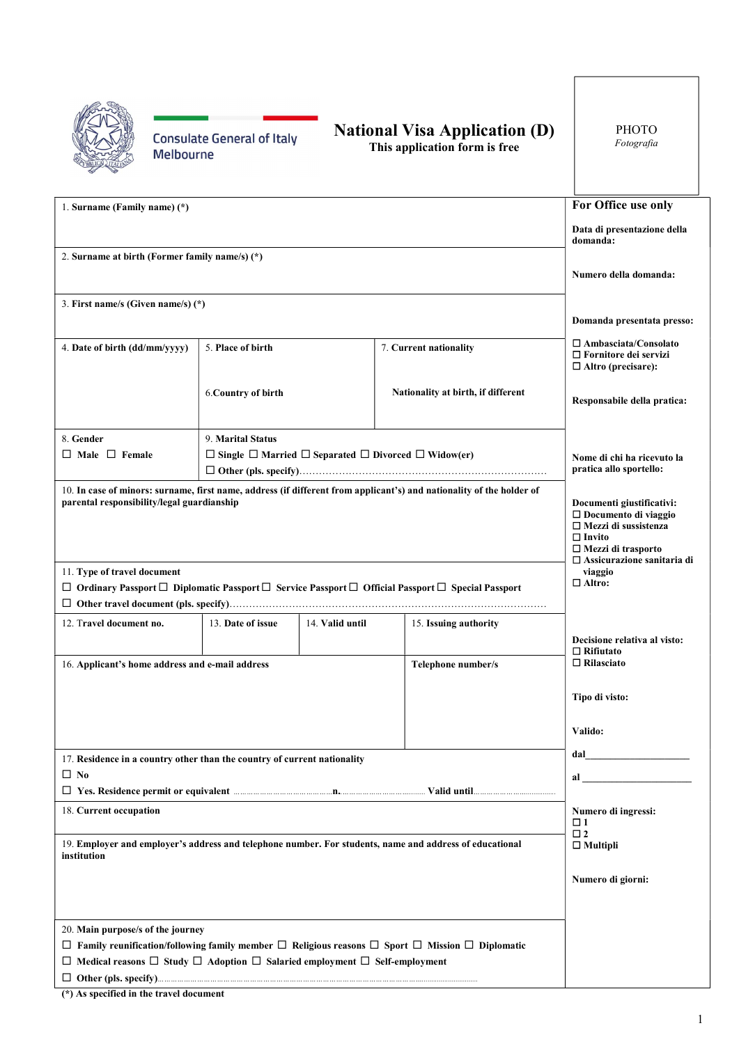**Consulate General of Italy Melbourne** 

## National Visa Application (D)

This application form is free

| 1. Surname (Family name) (*)                                                                                                                                       |                                                                                                                                                                                                                                |                                    |                                                                                                                              | For Office use only                                                                      |  |  |
|--------------------------------------------------------------------------------------------------------------------------------------------------------------------|--------------------------------------------------------------------------------------------------------------------------------------------------------------------------------------------------------------------------------|------------------------------------|------------------------------------------------------------------------------------------------------------------------------|------------------------------------------------------------------------------------------|--|--|
|                                                                                                                                                                    | Data di presentazione della<br>domanda:                                                                                                                                                                                        |                                    |                                                                                                                              |                                                                                          |  |  |
| 2. Surname at birth (Former family name/s) $(*)$                                                                                                                   | Numero della domanda:                                                                                                                                                                                                          |                                    |                                                                                                                              |                                                                                          |  |  |
| 3. First name/s (Given name/s) (*)                                                                                                                                 |                                                                                                                                                                                                                                |                                    |                                                                                                                              |                                                                                          |  |  |
|                                                                                                                                                                    |                                                                                                                                                                                                                                |                                    |                                                                                                                              | Domanda presentata presso:                                                               |  |  |
| 4. Date of birth (dd/mm/yyyy)                                                                                                                                      | 5. Place of birth                                                                                                                                                                                                              |                                    | 7. Current nationality                                                                                                       | $\Box$ Ambasciata/Consolato<br>$\Box$ Fornitore dei servizi<br>$\Box$ Altro (precisare): |  |  |
|                                                                                                                                                                    | 6. Country of birth                                                                                                                                                                                                            | Nationality at birth, if different |                                                                                                                              | Responsabile della pratica:                                                              |  |  |
| 8. Gender                                                                                                                                                          | 9. Marital Status                                                                                                                                                                                                              |                                    |                                                                                                                              |                                                                                          |  |  |
| $\Box$ Male $\Box$ Female                                                                                                                                          |                                                                                                                                                                                                                                |                                    | $\Box$ Single $\Box$ Married $\Box$ Separated $\Box$ Divorced $\Box$ Widow(er)                                               | Nome di chi ha ricevuto la                                                               |  |  |
|                                                                                                                                                                    |                                                                                                                                                                                                                                |                                    |                                                                                                                              | pratica allo sportello:                                                                  |  |  |
| 10. In case of minors: surname, first name, address (if different from applicant's) and nationality of the holder of<br>parental responsibility/legal guardianship | Documenti giustificativi:<br>□ Documento di viaggio<br>$\Box$ Mezzi di sussistenza<br>$\Box$ Invito<br>$\Box$ Mezzi di trasporto<br>$\Box$ Assicurazione sanitaria di                                                          |                                    |                                                                                                                              |                                                                                          |  |  |
| 11. Type of travel document                                                                                                                                        |                                                                                                                                                                                                                                |                                    |                                                                                                                              | viaggio<br>$\Box$ Altro:                                                                 |  |  |
|                                                                                                                                                                    |                                                                                                                                                                                                                                |                                    | $\Box$ Ordinary Passport $\Box$ Diplomatic Passport $\Box$ Service Passport $\Box$ Official Passport $\Box$ Special Passport |                                                                                          |  |  |
| 12. Travel document no.                                                                                                                                            | 13. Date of issue                                                                                                                                                                                                              | 14. Valid until                    | 15. Issuing authority                                                                                                        |                                                                                          |  |  |
|                                                                                                                                                                    |                                                                                                                                                                                                                                |                                    |                                                                                                                              | Decisione relativa al visto:                                                             |  |  |
| 16. Applicant's home address and e-mail address                                                                                                                    | Telephone number/s                                                                                                                                                                                                             |                                    |                                                                                                                              | $\Box$ Rifiutato<br>$\Box$ Rilasciato                                                    |  |  |
|                                                                                                                                                                    |                                                                                                                                                                                                                                |                                    |                                                                                                                              |                                                                                          |  |  |
|                                                                                                                                                                    | Tipo di visto:                                                                                                                                                                                                                 |                                    |                                                                                                                              |                                                                                          |  |  |
|                                                                                                                                                                    |                                                                                                                                                                                                                                |                                    |                                                                                                                              | Valido:                                                                                  |  |  |
|                                                                                                                                                                    |                                                                                                                                                                                                                                |                                    |                                                                                                                              |                                                                                          |  |  |
| 17. Residence in a country other than the country of current nationality<br>$\Box$ No                                                                              | al and the state of the state of the state of the state of the state of the state of the state of the state of the state of the state of the state of the state of the state of the state of the state of the state of the sta |                                    |                                                                                                                              |                                                                                          |  |  |
|                                                                                                                                                                    |                                                                                                                                                                                                                                |                                    |                                                                                                                              |                                                                                          |  |  |
| 18. Current occupation                                                                                                                                             |                                                                                                                                                                                                                                |                                    |                                                                                                                              | Numero di ingressi:<br>$\Box$ 1                                                          |  |  |
| 19. Employer and employer's address and telephone number. For students, name and address of educational<br>institution                                             | $\square$ 2<br>$\Box$ Multipli                                                                                                                                                                                                 |                                    |                                                                                                                              |                                                                                          |  |  |
|                                                                                                                                                                    | Numero di giorni:                                                                                                                                                                                                              |                                    |                                                                                                                              |                                                                                          |  |  |
|                                                                                                                                                                    |                                                                                                                                                                                                                                |                                    |                                                                                                                              |                                                                                          |  |  |
| 20. Main purpose/s of the journey                                                                                                                                  |                                                                                                                                                                                                                                |                                    |                                                                                                                              |                                                                                          |  |  |
|                                                                                                                                                                    |                                                                                                                                                                                                                                |                                    | $\Box$ Family reunification/following family member $\Box$ Religious reasons $\Box$ Sport $\Box$ Mission $\Box$ Diplomatic   |                                                                                          |  |  |
| $\Box$ Medical reasons $\Box$ Study $\Box$ Adoption $\Box$ Salaried employment $\Box$ Self-employment                                                              |                                                                                                                                                                                                                                |                                    |                                                                                                                              |                                                                                          |  |  |
|                                                                                                                                                                    |                                                                                                                                                                                                                                |                                    |                                                                                                                              |                                                                                          |  |  |

(\*) As specified in the travel document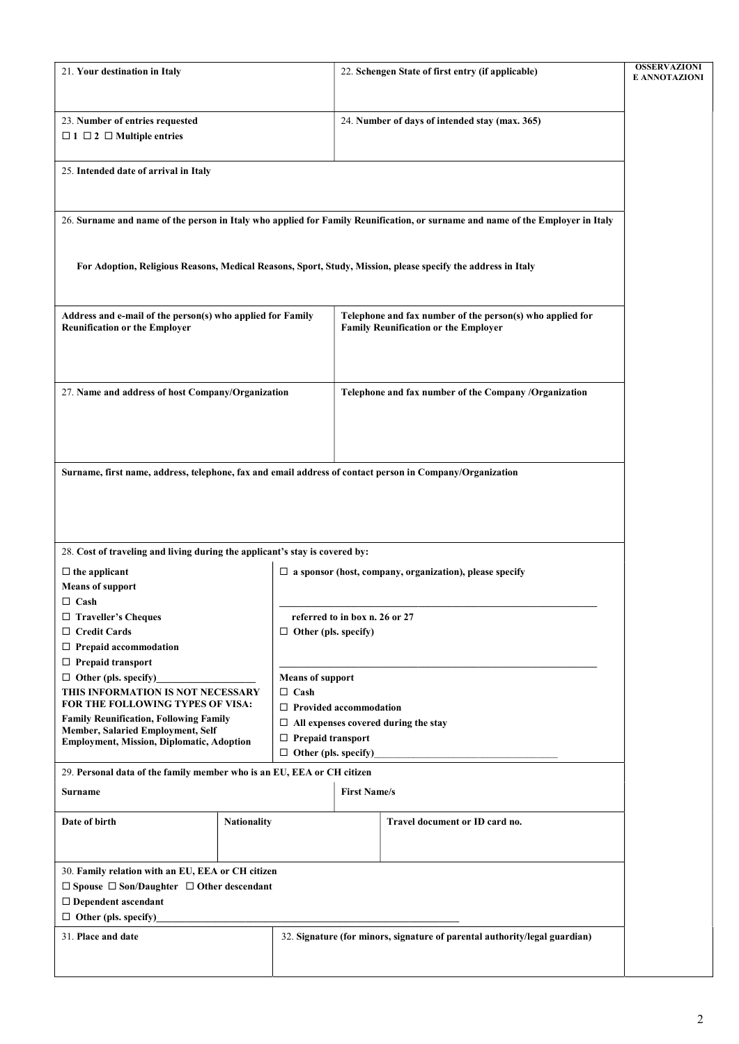| 21. Your destination in Italy                                                                                                                |                    | 22. Schengen State of first entry (if applicable)                       |                                                                                                          | <b>OSSERVAZIONI</b><br><b>E ANNOTAZIONI</b>                                                                                    |  |
|----------------------------------------------------------------------------------------------------------------------------------------------|--------------------|-------------------------------------------------------------------------|----------------------------------------------------------------------------------------------------------|--------------------------------------------------------------------------------------------------------------------------------|--|
| 23. Number of entries requested<br>$\Box$ 1 $\Box$ 2 $\Box$ Multiple entries                                                                 |                    |                                                                         | 24. Number of days of intended stay (max. 365)                                                           |                                                                                                                                |  |
| 25. Intended date of arrival in Italy                                                                                                        |                    |                                                                         |                                                                                                          |                                                                                                                                |  |
|                                                                                                                                              |                    |                                                                         |                                                                                                          | 26. Surname and name of the person in Italy who applied for Family Reunification, or surname and name of the Employer in Italy |  |
|                                                                                                                                              |                    |                                                                         |                                                                                                          | For Adoption, Religious Reasons, Medical Reasons, Sport, Study, Mission, please specify the address in Italy                   |  |
| Address and e-mail of the person(s) who applied for Family<br><b>Reunification or the Employer</b>                                           |                    |                                                                         | Telephone and fax number of the person(s) who applied for<br><b>Family Reunification or the Employer</b> |                                                                                                                                |  |
| 27. Name and address of host Company/Organization                                                                                            |                    |                                                                         |                                                                                                          | Telephone and fax number of the Company /Organization                                                                          |  |
| Surname, first name, address, telephone, fax and email address of contact person in Company/Organization                                     |                    |                                                                         |                                                                                                          |                                                                                                                                |  |
|                                                                                                                                              |                    |                                                                         |                                                                                                          |                                                                                                                                |  |
| 28. Cost of traveling and living during the applicant's stay is covered by:                                                                  |                    |                                                                         |                                                                                                          |                                                                                                                                |  |
| $\Box$ the applicant<br><b>Means of support</b><br>$\Box$ Cash                                                                               |                    | $\Box$ a sponsor (host, company, organization), please specify          |                                                                                                          |                                                                                                                                |  |
| $\Box$ Traveller's Cheques<br>$\Box$ Credit Cards                                                                                            |                    | referred to in box n. 26 or 27<br>$\Box$ Other (pls. specify)           |                                                                                                          |                                                                                                                                |  |
| $\Box$ Prepaid accommodation<br>$\Box$ Prepaid transport                                                                                     |                    |                                                                         |                                                                                                          |                                                                                                                                |  |
| $\Box$ Other (pls. specify)<br>THIS INFORMATION IS NOT NECESSARY                                                                             |                    | <b>Means of support</b><br>$\Box$ Cash                                  |                                                                                                          |                                                                                                                                |  |
| FOR THE FOLLOWING TYPES OF VISA:                                                                                                             |                    | $\Box$ Provided accommodation                                           |                                                                                                          |                                                                                                                                |  |
| <b>Family Reunification, Following Family</b><br>Member, Salaried Employment, Self<br><b>Employment, Mission, Diplomatic, Adoption</b>       |                    | $\Box$ All expenses covered during the stay<br>$\Box$ Prepaid transport |                                                                                                          |                                                                                                                                |  |
|                                                                                                                                              |                    |                                                                         | $\Box$ Other (pls. specify)                                                                              |                                                                                                                                |  |
| 29. Personal data of the family member who is an EU, EEA or CH citizen                                                                       |                    |                                                                         |                                                                                                          |                                                                                                                                |  |
| Surname                                                                                                                                      |                    | <b>First Name/s</b>                                                     |                                                                                                          |                                                                                                                                |  |
| Date of birth                                                                                                                                | <b>Nationality</b> |                                                                         |                                                                                                          | Travel document or ID card no.                                                                                                 |  |
| 30. Family relation with an EU, EEA or CH citizen<br>$\Box$ Spouse $\Box$ Son/Daughter $\Box$ Other descendant<br>$\Box$ Dependent ascendant |                    |                                                                         |                                                                                                          |                                                                                                                                |  |
| $\Box$ Other (pls. specify)                                                                                                                  |                    |                                                                         | 32. Signature (for minors, signature of parental authority/legal guardian)                               |                                                                                                                                |  |
| 31. Place and date                                                                                                                           |                    |                                                                         |                                                                                                          |                                                                                                                                |  |